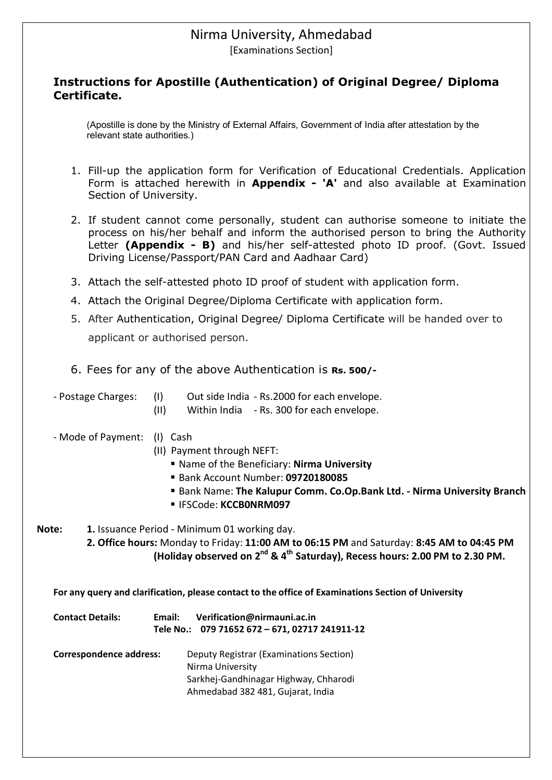## Nirma University, Ahmedabad

[Examinations Section]

#### **Instructions for Apostille (Authentication) of Original Degree/ Diploma Certificate.**

(Apostille is done by the Ministry of External Affairs, Government of India after attestation by the relevant state authorities.)

- 1. Fill-up the application form for Verification of Educational Credentials. Application Form is attached herewith in **Appendix - 'A'** and also available at Examination Section of University.
- 2. If student cannot come personally, student can authorise someone to initiate the process on his/her behalf and inform the authorised person to bring the Authority Letter **(Appendix - B)** and his/her self-attested photo ID proof. (Govt. Issued Driving License/Passport/PAN Card and Aadhaar Card)
- 3. Attach the self-attested photo ID proof of student with application form.
- 4. Attach the Original Degree/Diploma Certificate with application form.
- 5. After Authentication, Original Degree/ Diploma Certificate will be handed over to applicant or authorised person.
- 6. Fees for any of the above Authentication is **Rs. 500/-**

| - Postage Charges: |  | Out side India - Rs.2000 for each envelope. |
|--------------------|--|---------------------------------------------|
|--------------------|--|---------------------------------------------|

- (II) Within India Rs. 300 for each envelope.
- Mode of Payment: (I) Cash
	- (II) Payment through NEFT:
		- Name of the Beneficiary: **Nirma University**
		- Bank Account Number: **09720180085**
		- Bank Name: **The Kalupur Comm. Co.Op.Bank Ltd. Nirma University Branch**
		- IFSCode: **KCCB0NRM097**

**Note: 1.** Issuance Period - Minimum 01 working day.

**2. Office hours:** Monday to Friday: **11:00 AM to 06:15 PM** and Saturday: **8:45 AM to 04:45 PM (Holiday observed on 2nd & 4th Saturday), Recess hours: 2.00 PM to 2.30 PM.**

**For any query and clarification, please contact to the office of Examinations Section of University**

| <b>Contact Details:</b> | Verification@nirmauni.ac.in<br>Email:<br>Tele No.: 079 71652 672 - 671, 02717 241911-12 |
|-------------------------|-----------------------------------------------------------------------------------------|
| Correspondence address: | Deputy Registrar (Examinations Section)<br>Nirma University                             |
|                         | Sarkhej-Gandhinagar Highway, Chharodi<br>Ahmedabad 382 481, Gujarat, India              |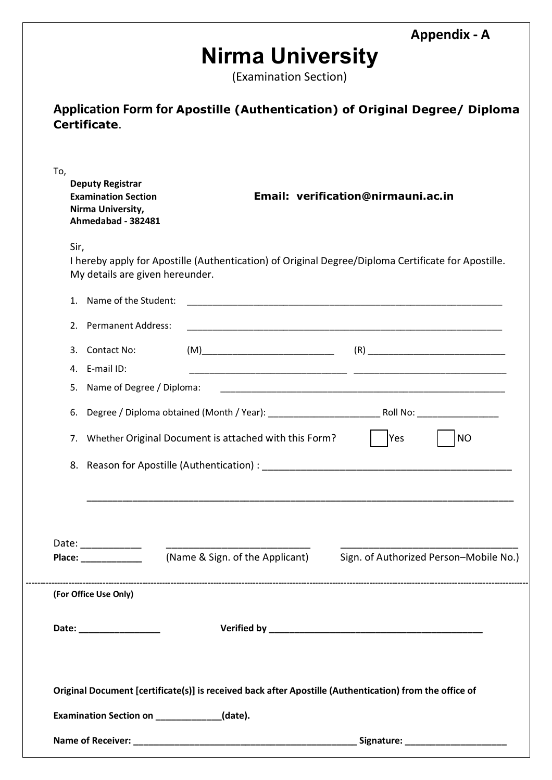**Appendix - A**

# **Nirma University**

(Examination Section)

| Application Form for Apostille (Authentication) of Original Degree/ Diploma |  |
|-----------------------------------------------------------------------------|--|
| Certificate.                                                                |  |

| Yes<br><b>NO</b><br>7. Whether Original Document is attached with this Form?                                                                                                                                                                          |
|-------------------------------------------------------------------------------------------------------------------------------------------------------------------------------------------------------------------------------------------------------|
|                                                                                                                                                                                                                                                       |
|                                                                                                                                                                                                                                                       |
|                                                                                                                                                                                                                                                       |
|                                                                                                                                                                                                                                                       |
| (Name & Sign. of the Applicant)<br>Sign. of Authorized Person-Mobile No.)                                                                                                                                                                             |
| Date: _____________<br>Place: and the state of the state of the state of the state of the state of the state of the state of the state of the state of the state of the state of the state of the state of the state of the state of the state of the |
|                                                                                                                                                                                                                                                       |
|                                                                                                                                                                                                                                                       |
|                                                                                                                                                                                                                                                       |